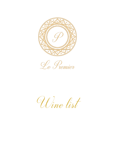



Wine list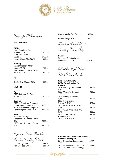

Sampanjci / Champagnes

## *NON VINTAGE*

*Reims*

*Ay*

*Epernay*

*Reims*

*2007 Bollinger, La Grande* 

*2008 Maison Dom Perignon,* 

*2005 Maison Dom Perignon,* 

*Ponsardin La Grande Dame* 

*2009 Louis Roederer, Cristal* 

*2004 Veuve Cliquot* 

*Annee 0.75 1900 kn*

*Dom Perignon Vintage 0.75 3100 kn*

*Dom Perignon Rose' 0.75 4450 kn*

*0.75 2560 kn*

*0.75 3200 kn*

| Louis Roederer, Brut<br>Premier 0.75<br>Krug, Brut Grand | 900 kn            |
|----------------------------------------------------------|-------------------|
| <i>Cuvee 0.75</i><br>Veuve Clicquot Brut 0,75            | 2700 kn<br>800 kn |
| <b>Epernay</b><br>Moet&Chandon, Moet                     |                   |
| Imperial 0.75                                            | 700 kn            |
| Moet&Chandon, Moet Rosè<br>Imperial 0.75                 | 850 kn            |
| Αv                                                       |                   |
| Deutz, Brut Classic 0.375                                | 390 kn            |
| <i><b>VINTAGE</b></i>                                    |                   |

*Ivančić, Griffin Brut Nature 0.75 Petrač, Bregh 0.75 250 kn*

*350 kn*

Pjenušava Vina Italija/ Sparkling Wines Staly

*Veneto Prosecco Astoria Cuvee Lounge DOC 0,75 250 kn*

ICwatska Bijela Vina/

White Wines Croatia

| Primorska Hrvatska /          |        |
|-------------------------------|--------|
| <b>White Croatian Coastal</b> |        |
| <b>Region</b>                 |        |
| 2020 Malvazija, Benvenuti     | 250 kn |
| 0.75                          |        |
| 2020 Malvazija Coronica       | 255 kn |
| 0.75                          |        |
| 2018 Meneghetti Bijelo        |        |
| 0.75I                         | 450 kn |
| 2009 Ines u Bijelom,          |        |
| Roxanich 0.75                 | 320 kn |
| 2015 Pošip, Miljenko Grgić    |        |
| 0.75                          | 350 kn |
| 2019 Pošip Stina, Jako Vino   |        |
| 0.75                          | 360 kn |
| 2015, Pošip Sur Lie,          | 340 kn |
| Krajančić 0,75                |        |
| 2016 Grk, Bire 0.75           | 350 kn |

P jenušava Vina Flrvatska /

Croatian Sparkling Wines *Tomac, Diplomat 0.75 450 kn*

*Tomac, Rose Brut 0.75 350 kn*

*Kontinentalna Hrvatska/Croatian Continental Region 2016 Graševina Gaudeamus 0.75 155 kn 2017/18 Graševina Galić 0.75 200 kn 2018 Chardonnay Rosenberg,* 

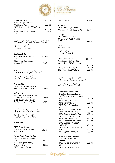



*Krauthaker 0.75 300 kn 2018 Sauvignon Vidim, Krauthaker 0.75 200 kn 2018 Traminac, Ilocki Podrumi 0.75 180 kn 2017 Sivi Pinot Krauthaker 0.75 210 kn*

Slovenska Bijela Vina / White

Uines Slovenia

*Goriška Brda 2010 Veliko Belo, Movia 0.75 2008 Lunar Chardonnay, Movia 0.75 700 kn*

*620 kn*

Francuska Bijela Vina/

White Wines France

*Burgundija 2014 Chablis, Premier Cru Jean-Marc Brocard 0.75 590 kn*

| Val de Loire              |         |
|---------------------------|---------|
| 2016 Sancerre Blanc Baron |         |
| Patrick de Laducette 0.75 | 500 kn  |
| 2014, Baron de L., Baron  |         |
| Patrick de Laducette0.75  | 1150 kn |

Talijanska Bijela Vina / White Wines Faly

## *Južni Tirol*

| 2016 Pinot Bianco      |        |
|------------------------|--------|
| Kristalberg DOC, Elena | 470 kn |
| <i>Walch 0.75</i>      |        |
|                        |        |

| Furlanija-Julijska Krajina |        |  |  |
|----------------------------|--------|--|--|
| 2020 Chardonnay, Jermann   |        |  |  |
| 0.75                       | 450 kn |  |  |
| 2020, Savignon blanc,      |        |  |  |
| Jermann 0.75               | 440 kn |  |  |
| 2015 Vinatge Tunina,       |        |  |  |



#### *Veneto 2016 Pinot Grigio delle*

*Venezie, Fratelli Bolla 0.75 200 kn*

*Sicilija*

*2018 Solandia Grillo-Chardonay, Fratelli Bolla 0.75 280 kn*

Rose Vina

Rose Uines

| 2018 Cuvee Rose,          | 190 kn |
|---------------------------|--------|
| Krauthaker, Kutjevo 0.75  |        |
| 2012, Rose, Miloš Stagnum |        |
| 0.75                      | 250 kn |
| 2014, Rose Batič 0,75     | 350 kn |
| 2016 Rose Veralda 0.75    | 250 kn |

Hrvatska Crvena Vina/

Red Wines Croatia

## *Primorska Hrvatska / Croatian Coastal Region 2011/12 Crveno, Meneghetti 0.75 690 kn 2013 Teran, Benvenuti Anno Domini 0.75 390 kn 2015, Gran Teran Coronica 0.75 390 kn 2011 Ivan Dolac Selekcija Petric Plavac Mali 0.75 560 kn 2013 Dingač, St. Hills 0.75 900 kn 2017 Majstor Plavac mali Stina, Jako Vino 0.75 380 kn 2012 Zlatan Plavac Grand 480 kn 2012, Dingač 50, Badel 1862 0.75 480 kn 2013, Postup, Donja Banda 0.75 220 kn 2016, Syrah Korlat 0.75 280 kn Kontinentalna Hrvatska /*

### *Croatian Continental Region 2016 Cuvee, Gaudeamus 0.75 2012 Merlot, Krauthaker*

*220 kn*

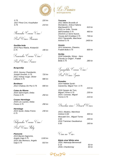

## *0.75 220 kn 2017 Pinot Crni, Krauthaker 0.75 210 kn*

Slovenska Crvena Vina /

Red Wines Slovenia

*Goriška brda 2015 Pavo Rdeče, Kristančić 0.75 190 kn*

Francuska Crvena Vina/

Red Wines France

## *Burgundija*

| 2013, Gevrey Chambertin,<br>Joseph Drouhin, 0.75<br>2011 Volnay rouge, Olivier<br>Laflaive 0.75 | 720 kn<br>680 kn |
|-------------------------------------------------------------------------------------------------|------------------|
| <b>Bordeaux</b><br>2012 Chateau De Pez 0.75                                                     | 690 kn           |
| <b>Cotes du Rhone</b><br>2016 Saint Esprit, Delas<br>Freres 0.75<br><b>Crozes Hermitage</b>     | 250 kn           |
| 2016 Les Launes, Delas<br>Freres $0.75$                                                         | 290 kn           |
| <b>Hermitage</b><br>2015 Syrah, Delas Freres<br>0.75                                            | 230 kn           |
| Galijanska Cvvena Vina/                                                                         |                  |
| Red Wines Italy                                                                                 |                  |

*Piemonte 2013 Barolo Dagromis, Angelo Gaja 0.75 1100 kn 2015 Sito Moresco, Angelo Gaja 0.75 810 kn*

# *Toscana*

| 2011 Melini Brunello di     |         |
|-----------------------------|---------|
| Montalcino, Antica Fattoria |         |
| Machiavelli 0.75            | 610 kn  |
| 2015 Le Volte, Tenuta       |         |
| dell'Ornellaia 0.75         | 460 kn  |
| 2014/15 Le Serre Nuove,     |         |
| Tenuta dell Ornellaia 0.75  | 730 kn  |
| 2013 Tignanello, Marchese   |         |
| Antinori 0.75               | 1400 kn |

## *Veneto*

*2012 Amarone "Classico, Fratelli Bolla 0.75 600 kn*

# *Sicilija*

*2018 Solandia, Shiraz - Nero D'avola,Le Origini", Fratelli Bolla 0.75 280 kn*

Španjolska Civena Vina/

Red Wines Spain

*Penedes 2014 Habitat Syrah-Garancha, Miguel Torr. 0.75*

| 2016 Sangre de Toro,<br>Miguel Torres 0.75<br>2014, Coronas, Miguel<br>Torres 0.75 | 210 kn |
|------------------------------------------------------------------------------------|--------|
|                                                                                    |        |
|                                                                                    | 230 kn |
|                                                                                    |        |
|                                                                                    | 210 kn |

Desertna vina / Dessert Uines

| 2013, Aleatico, Marchese    |        |
|-----------------------------|--------|
| Antinori 0,50               | 300 kn |
| Moscatel Oro, Miguel Torres |        |
| 0.50                        | 240 kn |
| 2016 Traminac Gaudeamus     |        |
| 0.50                        | 160 kn |
|                             |        |

Vina na Ciše:

*Bijela vina/ White wine 2020, Malvazija Benvenutti 0.15 50 kn 2018, Chardonnay 50 kn*